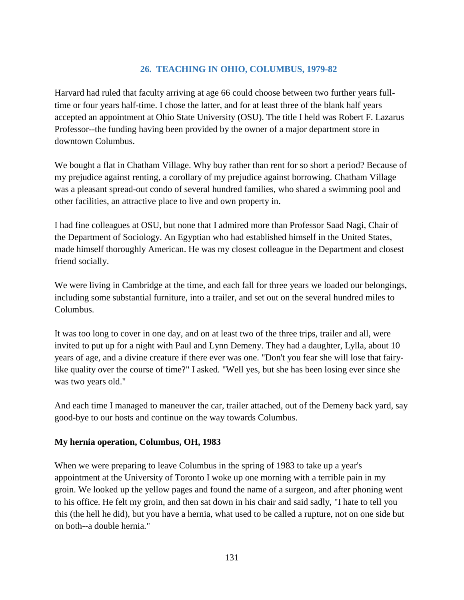## **26. TEACHING IN OHIO, COLUMBUS, 1979-82**

Harvard had ruled that faculty arriving at age 66 could choose between two further years fulltime or four years half-time. I chose the latter, and for at least three of the blank half years accepted an appointment at Ohio State University (OSU). The title I held was Robert F. Lazarus Professor--the funding having been provided by the owner of a major department store in downtown Columbus.

We bought a flat in Chatham Village. Why buy rather than rent for so short a period? Because of my prejudice against renting, a corollary of my prejudice against borrowing. Chatham Village was a pleasant spread-out condo of several hundred families, who shared a swimming pool and other facilities, an attractive place to live and own property in.

I had fine colleagues at OSU, but none that I admired more than Professor Saad Nagi, Chair of the Department of Sociology. An Egyptian who had established himself in the United States, made himself thoroughly American. He was my closest colleague in the Department and closest friend socially.

We were living in Cambridge at the time, and each fall for three years we loaded our belongings, including some substantial furniture, into a trailer, and set out on the several hundred miles to Columbus.

It was too long to cover in one day, and on at least two of the three trips, trailer and all, were invited to put up for a night with Paul and Lynn Demeny. They had a daughter, Lylla, about 10 years of age, and a divine creature if there ever was one. "Don't you fear she will lose that fairylike quality over the course of time?" I asked. "Well yes, but she has been losing ever since she was two years old."

And each time I managed to maneuver the car, trailer attached, out of the Demeny back yard, say good-bye to our hosts and continue on the way towards Columbus.

## **My hernia operation, Columbus, OH, 1983**

When we were preparing to leave Columbus in the spring of 1983 to take up a year's appointment at the University of Toronto I woke up one morning with a terrible pain in my groin. We looked up the yellow pages and found the name of a surgeon, and after phoning went to his office. He felt my groin, and then sat down in his chair and said sadly, "I hate to tell you this (the hell he did), but you have a hernia, what used to be called a rupture, not on one side but on both--a double hernia."